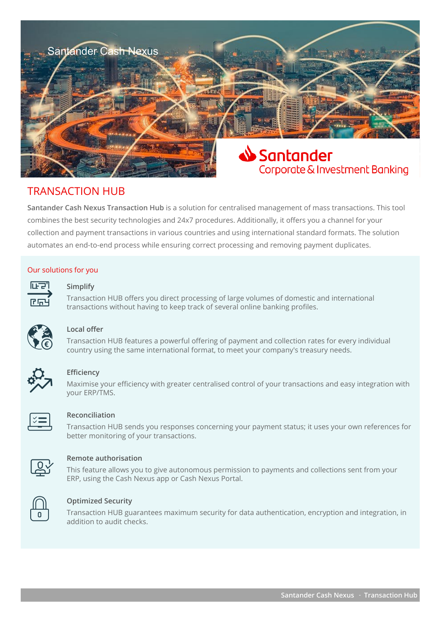

# TRANSACTION HUB

**Santander Cash Nexus Transaction Hub** is a solution for centralised management of mass transactions. This tool combines the best security technologies and 24x7 procedures. Additionally, it offers you a channel for your collection and payment transactions in various countries and using international standard formats. The solution automates an end-to-end process while ensuring correct processing and removing payment duplicates.

#### Our solutions for you



#### **Simplify**

THET Simplify<br>Transaction HUB offers you direct processing of large volumes of domestic and international<br>transactions without having to keep track of several online banking profiles.



# **Local offer**

Transaction HUB features a powerful offering of payment and collection rates for every individual country using the same international format, to meet your company's treasury needs.



# **Efficiency**

Maximise your efficiency with greater centralised control of your transactions and easy integration with vour ERP/TMS.



#### **Reconciliation**

Transaction HUB sends you responses concerning your payment status; it uses your own references for better monitoring of your transactions.



# **Remote authorisation**

This feature allows you to give autonomous permission to payments and collections sent from your<br> ERP, using the Cash Nexus app or Cash Nexus Portal.



# **Optimized Security**

Transaction HUB guarantees maximum security for data authentication, encryption and integration, in addition to audit checks.